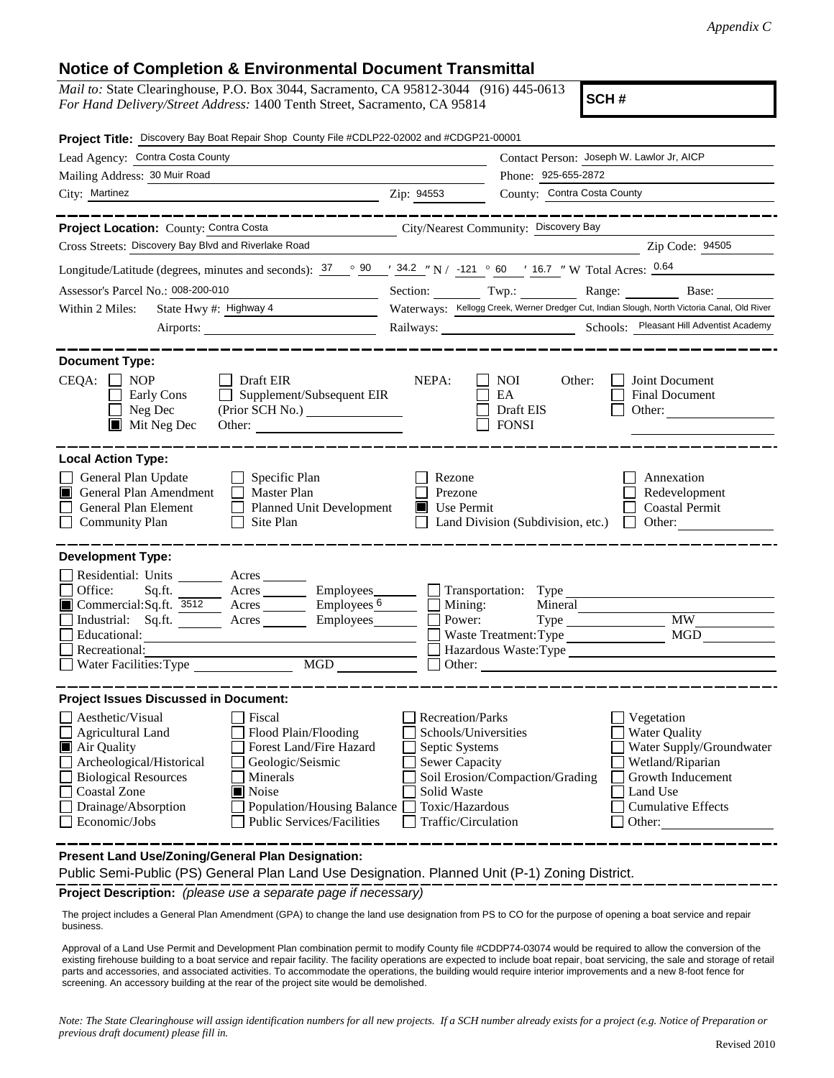## **Notice of Completion & Environmental Document Transmittal**

*Mail to:* State Clearinghouse, P.O. Box 3044, Sacramento, CA 95812-3044 (916) 445-0613 *For Hand Delivery/Street Address:* 1400 Tenth Street, Sacramento, CA 95814

**SCH #**

| Project Title: Discovery Bay Boat Repair Shop County File #CDLP22-02002 and #CDGP21-00001                                                                                                                                                                                                                                                                      |                                                                                                                                              |                                                         |                                                                                                                                                            |
|----------------------------------------------------------------------------------------------------------------------------------------------------------------------------------------------------------------------------------------------------------------------------------------------------------------------------------------------------------------|----------------------------------------------------------------------------------------------------------------------------------------------|---------------------------------------------------------|------------------------------------------------------------------------------------------------------------------------------------------------------------|
| Lead Agency: Contra Costa County                                                                                                                                                                                                                                                                                                                               |                                                                                                                                              | Contact Person: Joseph W. Lawlor Jr, AICP               |                                                                                                                                                            |
| Mailing Address: 30 Muir Road                                                                                                                                                                                                                                                                                                                                  |                                                                                                                                              | Phone: 925-655-2872                                     |                                                                                                                                                            |
| City: Martinez                                                                                                                                                                                                                                                                                                                                                 | Zip: 94553                                                                                                                                   | County: Contra Costa County                             |                                                                                                                                                            |
|                                                                                                                                                                                                                                                                                                                                                                |                                                                                                                                              |                                                         |                                                                                                                                                            |
| Project Location: County: Contra Costa                                                                                                                                                                                                                                                                                                                         |                                                                                                                                              | City/Nearest Community: Discovery Bay                   |                                                                                                                                                            |
| Cross Streets: Discovery Bay Blvd and Riverlake Road                                                                                                                                                                                                                                                                                                           |                                                                                                                                              |                                                         | Zip Code: 94505                                                                                                                                            |
| Longitude/Latitude (degrees, minutes and seconds): $37 \degree$ 90 $\degree$ $34.2 \degree$ N / $-121 \degree$ 60 $\degree$ 16.7 " W Total Acres: $0.64$                                                                                                                                                                                                       |                                                                                                                                              |                                                         |                                                                                                                                                            |
| Assessor's Parcel No.: 008-200-010                                                                                                                                                                                                                                                                                                                             |                                                                                                                                              |                                                         | Section: Twp.: Range: Base: Base:                                                                                                                          |
| State Hwy #: Highway 4<br>Within 2 Miles:                                                                                                                                                                                                                                                                                                                      |                                                                                                                                              |                                                         | Waterways: Kellogg Creek, Werner Dredger Cut, Indian Slough, North Victoria Canal, Old River                                                               |
|                                                                                                                                                                                                                                                                                                                                                                |                                                                                                                                              |                                                         |                                                                                                                                                            |
| <b>Document Type:</b><br>CEQA: [<br>$\Box$ NOP<br>Draft EIR<br>Supplement/Subsequent EIR<br>Early Cons<br>Neg Dec<br>Mit Neg Dec                                                                                                                                                                                                                               | NEPA:                                                                                                                                        | <b>NOI</b><br>Other:<br>EA<br>Draft EIS<br><b>FONSI</b> | Joint Document<br><b>Final Document</b><br>Other:                                                                                                          |
| <b>Local Action Type:</b><br>General Plan Update<br>$\Box$ Specific Plan<br>General Plan Amendment<br>$\Box$ Master Plan<br>IT<br>General Plan Element<br>Planned Unit Development<br><b>Community Plan</b><br>$\Box$ Site Plan                                                                                                                                | Rezone<br>Prezone<br>$\blacksquare$ Use Permit                                                                                               | Land Division (Subdivision, etc.) $\Box$                | Annexation<br>Redevelopment<br><b>Coastal Permit</b><br>Other:                                                                                             |
| <b>Development Type:</b>                                                                                                                                                                                                                                                                                                                                       |                                                                                                                                              |                                                         |                                                                                                                                                            |
| Residential: Units ________ Acres _______<br>Office:<br>Acres Employees Transportation: Type<br>Sq.ft.<br>Commercial:Sq.ft. 3512 Acres Employees 6<br>Industrial: Sq.ft. _______ Acres ________ Employees_______<br>Educational:<br>Recreational:<br>MGD<br>Water Facilities: Type                                                                             | Mining:<br>Power:                                                                                                                            | Mineral<br>Waste Treatment: Type<br>Other:              | <b>MW</b><br><b>MGD</b>                                                                                                                                    |
| <b>Project Issues Discussed in Document:</b>                                                                                                                                                                                                                                                                                                                   |                                                                                                                                              |                                                         |                                                                                                                                                            |
| Aesthetic/Visual<br>Fiscal<br>Flood Plain/Flooding<br><b>Agricultural Land</b><br>Air Quality<br>Forest Land/Fire Hazard<br>Archeological/Historical<br>Geologic/Seismic<br><b>Biological Resources</b><br>Minerals<br><b>Coastal Zone</b><br>Noise<br>Drainage/Absorption<br>Population/Housing Balance<br>Economic/Jobs<br><b>Public Services/Facilities</b> | <b>Recreation/Parks</b><br>Schools/Universities<br>Septic Systems<br>Sewer Capacity<br>Solid Waste<br>Toxic/Hazardous<br>Traffic/Circulation | Soil Erosion/Compaction/Grading                         | Vegetation<br><b>Water Quality</b><br>Water Supply/Groundwater<br>Wetland/Riparian<br>Growth Inducement<br>Land Use<br><b>Cumulative Effects</b><br>Other: |
| Present Land Use/Zoning/General Plan Designation:<br>Public Semi-Public (PS) General Plan Land Use Designation. Planned Unit (P-1) Zoning District.                                                                                                                                                                                                            |                                                                                                                                              |                                                         |                                                                                                                                                            |

**Project Description:** *(please use a separate page if necessary)*

 The project includes a General Plan Amendment (GPA) to change the land use designation from PS to CO for the purpose of opening a boat service and repair business.

Approval of a Land Use Permit and Development Plan combination permit to modify County file #CDDP74-03074 would be required to allow the conversion of the existing firehouse building to a boat service and repair facility. The facility operations are expected to include boat repair, boat servicing, the sale and storage of retail parts and accessories, and associated activities. To accommodate the operations, the building would require interior improvements and a new 8-foot fence for screening. An accessory building at the rear of the project site would be demolished.

*Note: The State Clearinghouse will assign identification numbers for all new projects. If a SCH number already exists for a project (e.g. Notice of Preparation or previous draft document) please fill in.*